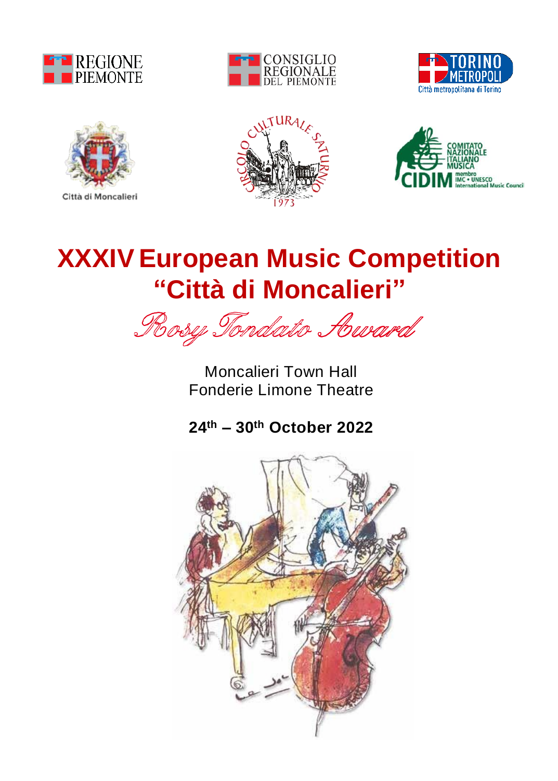







Città di Moncalieri





# **XXXIV European Music Competition "Città di Moncalieri"**

Rosy Tondato Award

Moncalieri Town Hall Fonderie Limone Theatre

**24th – 30th October 2022**

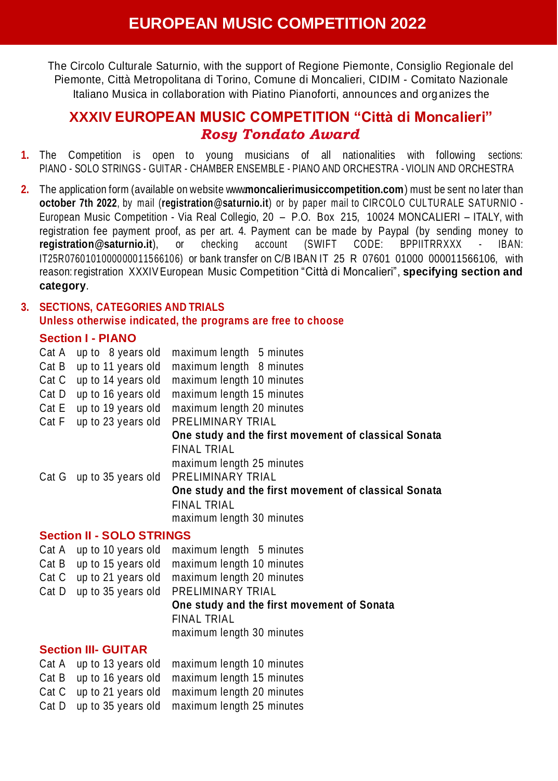The Circolo Culturale Saturnio, with the support of Regione Piemonte, Consiglio Regionale del Piemonte, Città Metropolitana di Torino, Comune di Moncalieri, CIDIM - Comitato Nazionale Italiano Musica in collaboration with Piatino Pianoforti, announces and org anizes the

## **XXXIV EUROPEAN MUSIC COMPETITION "Città di Moncalieri"** *Rosy Tondato Award*

- **1.** The Competition is open to young musicians of all nationalities with following sections: PIANO - SOLO STRINGS - GUITAR - CHAMBER ENSEMBLE - PIANO AND ORCHESTRA - VIOLIN AND ORCHESTRA
- **2.** The application form (available on website www.**moncalierimusiccompetition.com**) must be sent no later than **october 7th 2022**, by mail (**registration@saturnio.it**) or by paper mail to CIRCOLO CULTURALE SATURNIO - European Music Competition - Via Real Collegio, 20 – P.O. Box 215, 10024 MONCALIERI – ITALY, with registration fee payment proof, as per art. 4. Payment can be made by Paypal (by sending money to **registration@saturnio.it**), or checking account (SWIFT CODE: BPPIITRRXXX - IBAN: IT25R0760101000000011566106) or bank transfer on C/B IBAN IT 25 R 07601 01000 000011566106, with reason: registration XXXIVEuropean Music Competition "Città di Moncalieri", **specifying section and category**.

# **3. SECTIONS, CATEGORIES AND TRIALS Unless otherwise indicated, the programs are free to choose**

## **Section I - PIANO**

| Cat A | up to 8 years old        | maximum length 5 minutes                             |
|-------|--------------------------|------------------------------------------------------|
| Cat B | up to 11 years old       | maximum length 8 minutes                             |
| Cat C | up to 14 years old       | maximum length 10 minutes                            |
| Cat D | up to 16 years old       | maximum length 15 minutes                            |
| Cat E | up to 19 years old       | maximum length 20 minutes                            |
| Cat F | up to 23 years old       | PRELIMINARY TRIAL                                    |
|       |                          | One study and the first movement of classical Sonata |
|       |                          | FINAL TRIAL                                          |
|       |                          | maximum length 25 minutes                            |
|       | Cat G up to 35 years old | PRELIMINARY TRIAL                                    |
|       |                          | One study and the first movement of classical Sonata |
|       |                          | <b>FINAL TRIAL</b>                                   |
|       |                          | maximum length 30 minutes                            |

## **Section II - SOLO STRINGS**

|                            | Cat A up to 10 years old maximum length 5 minutes |  |  |  |  |
|----------------------------|---------------------------------------------------|--|--|--|--|
| Cat B up to 15 years old   | maximum length 10 minutes                         |  |  |  |  |
| Cat C up to 21 years old   | maximum length 20 minutes                         |  |  |  |  |
|                            | Cat D up to 35 years old PRELIMINARY TRIAL        |  |  |  |  |
|                            | One study and the first movement of Sonata        |  |  |  |  |
|                            | FINAL TRIAL                                       |  |  |  |  |
|                            | maximum length 30 minutes                         |  |  |  |  |
| <b>Section III- GUITAR</b> |                                                   |  |  |  |  |

|  | Cat A up to 13 years old maximum length 10 minutes |
|--|----------------------------------------------------|
|  | Cat B up to 16 years old maximum length 15 minutes |
|  | Cat C up to 21 years old maximum length 20 minutes |
|  | Cat D up to 35 years old maximum length 25 minutes |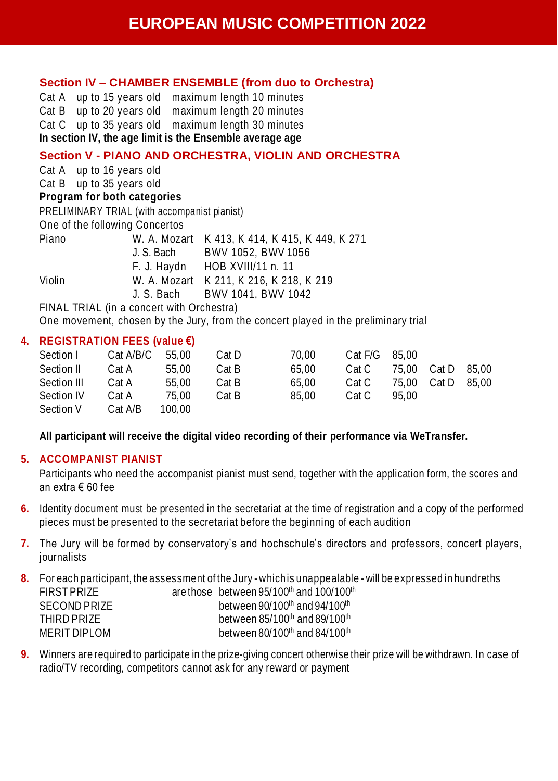### **Section IV – CHAMBER ENSEMBLE (from duo to Orchestra)**

Cat A up to 15 years old maximum length 10 minutes Cat B up to 20 years old maximum length 20 minutes Cat C up to 35 years old maximum length 30 minutes **In section IV, the age limit is the Ensemble average age**

### **Section V - PIANO AND ORCHESTRA, VIOLIN AND ORCHESTRA**

Cat A up to 16 years old Cat B up to 35 years old **Program for both categories** PRELIMINARY TRIAL (with accompanist pianist) One of the following Concertos Piano W. A. Mozart K 413, K 414, K 415, K 449, K 271 J. S. Bach BWV 1052, BWV 1056<br>F. J. Havdn HOB XVIII/11 n. 11 HOB XVIII/11 n. 11 Violin W. A. Mozart K 211, K 216, K 218, K 219 J. S. Bach BWV 1041, BWV 1042 FINAL TRIAL (in a concert with Orchestra)

One movement, chosen by the Jury, from the concert played in the preliminary trial

#### **4. REGISTRATION FEES (value €)**

| Section I   | Cat A/B/C | 55.00  | Cat D | 70.00 | Cat F/G | 85.00 |       |       |
|-------------|-----------|--------|-------|-------|---------|-------|-------|-------|
| Section II  | Cat A     | 55.00  | Cat B | 65.00 | Cat C   | 75.00 | Cat D | 85.00 |
| Section III | Cat A     | 55.00  | Cat B | 65.00 | Cat C   | 75.00 | Cat D | 85.00 |
| Section IV  | Cat A     | 75.00  | Cat B | 85.00 | Cat C   | 95.00 |       |       |
| Section V   | Cat A/B   | 100.00 |       |       |         |       |       |       |

**All participant will receive the digital video recording of their performance via WeTransfer.**

## **5. ACCOMPANIST PIANIST**

Participants who need the accompanist pianist must send, together with the application form, the scores and an extra € 60 fee

- **6.** Identity document must be presented in the secretariat at the time of registration and a copy of the performed pieces must be presented to the secretariat before the beginning of each audition
- **7.** The Jury will be formed by conservatory's and hochschule's directors and professors, concert players, journalists
- **8.** For each participant, the assessment of the Jury whichis unappealable will be expressed in hundreths FIRST PRIZE are those between 95/100<sup>th</sup> and 100/100<sup>th</sup> SECOND PRIZE between 90/100<sup>th</sup> and 94/100<sup>th</sup> THIRD PRIZE between 85/100<sup>th</sup> and 89/100<sup>th</sup> MERIT DIPLOM between 80/100<sup>th</sup> and 84/100<sup>th</sup>
- **9.** Winners are required to participate in the prize-giving concert otherwise their prize will be withdrawn. In case of radio/TV recording, competitors cannot ask for any reward or payment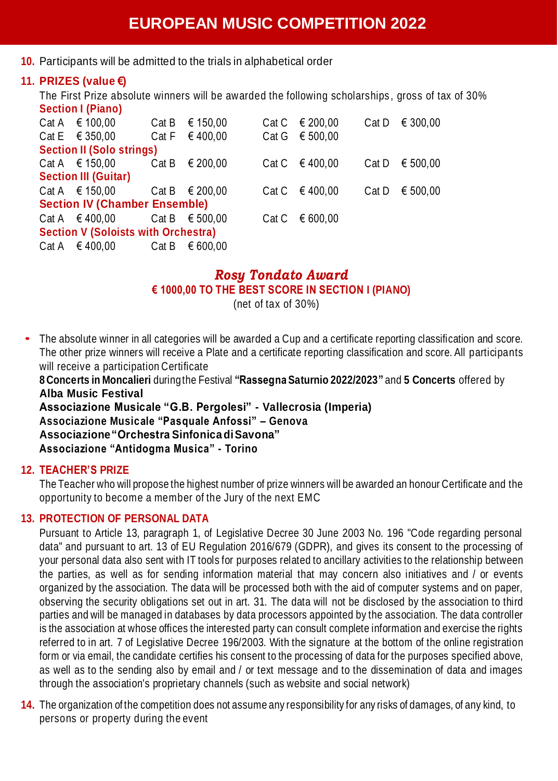**10.** Participants will be admitted to the trials in alphabetical order

## **11. PRIZES (value €)**

The First Prize absolute winners will be awarded the following scholarships , gross of tax of 30% **Section I (Piano)**

|                                  | Cat A € 100,00                       |  | Cat B $\in$ 150.00      |  | Cat C € 200.00     | Cat D | € 300.00 |  |  |
|----------------------------------|--------------------------------------|--|-------------------------|--|--------------------|-------|----------|--|--|
|                                  | Cat E $€ 350.00$                     |  | Cat F € 400.00          |  | Cat G $€ 500.00$   |       |          |  |  |
| <b>Section II (Solo strings)</b> |                                      |  |                         |  |                    |       |          |  |  |
|                                  | Cat A $\in$ 150.00                   |  | Cat B $\in$ 200.00      |  | Cat C € 400.00     | Cat D | € 500.00 |  |  |
|                                  | <b>Section III (Guitar)</b>          |  |                         |  |                    |       |          |  |  |
|                                  | Cat A $\in$ 150,00                   |  | Cat B € 200.00          |  | Cat C € 400.00     | Cat D | € 500.00 |  |  |
|                                  | <b>Section IV (Chamber Ensemble)</b> |  |                         |  |                    |       |          |  |  |
|                                  | Cat A $\in$ 400.00                   |  | Cat B $\epsilon$ 500.00 |  | Cat C $\in$ 600.00 |       |          |  |  |
|                                  | Section V (Soloists with Orchestra)  |  |                         |  |                    |       |          |  |  |
|                                  | Cat A $\in$ 400.00                   |  | Cat B $\epsilon$ 600.00 |  |                    |       |          |  |  |

## *Rosy Tondato Award* **€ 1000,00 TO THE BEST SCORE IN SECTION I (PIANO)**

(net of tax of 30%)

• The absolute winner in all categories will be awarded <sup>a</sup> Cup and <sup>a</sup> certificate reporting classification and score. The other prize winners will receive a Plate and a certificate reporting classification and score. All participants will receive a participation Certificate

**8 Concerts in Moncalieri** duringthe Festival **"Rassegna Saturnio 2022/2023"** and **5 Concerts** offered by **Alba Music Festival**

**Associazione Musicale "G.B. Pergolesi" - Vallecrosia (Imperia) Associazione Musicale "Pasquale Anfossi" – Genova Associazione"Orchestra SinfonicadiSavona" Associazione "Antidogma Musica" - Torino**

## **12. TEACHER'S PRIZE**

The Teacher who will propose the highest number of prize winners will be awarded an honour Certificate and the opportunity to become a member of the Jury of the next EMC

## **13. PROTECTION OF PERSONAL DATA**

Pursuant to Article 13, paragraph 1, of Legislative Decree 30 June 2003 No. 196 "Code regarding personal data" and pursuant to art. 13 of EU Regulation 2016/679 (GDPR), and gives its consent to the processing of your personal data also sent with IT tools for purposes related to ancillary activities to the relationship between the parties, as well as for sending information material that may concern also initiatives and / or events organized by the association. The data will be processed both with the aid of computer systems and on paper, observing the security obligations set out in art. 31. The data will not be disclosed by the association to third parties and will be managed in databases by data processors appointed by the association. The data controller is the association at whose offices the interested party can consult complete information and exercise the rights referred to in art. 7 of Legislative Decree 196/2003. With the signature at the bottom of the online registration form or via email, the candidate certifies his consent to the processing of data for the purposes specified above, as well as to the sending also by email and / or text message and to the dissemination of data and images through the association's proprietary channels (such as website and social network)

**14.** The organization of the competition does not assume any responsibility for any risks of damages, of any kind, to persons or property during the event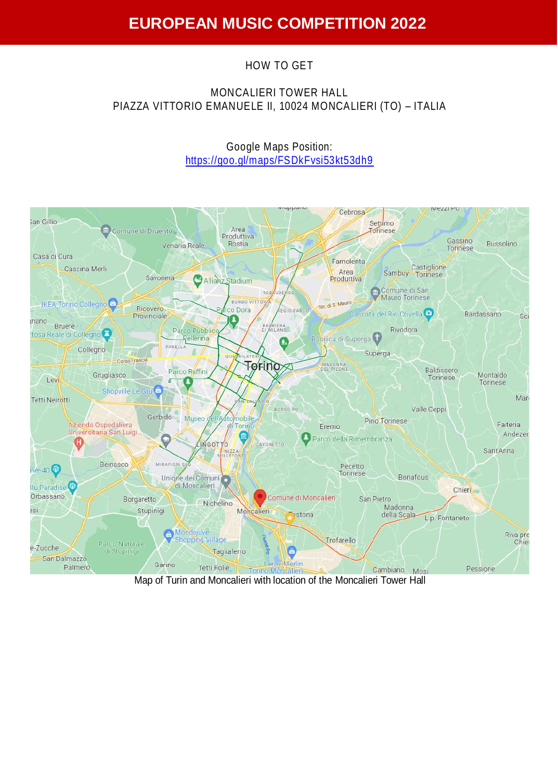## HOW TO GET

## MONCALIERI TOWER HALL PIAZZA VITTORIO EMANUELE II, 10024 MONCALIERI (TO) – ITALIA

Google Maps Position: <https://goo.gl/maps/FSDkFvsi53kt53dh9>

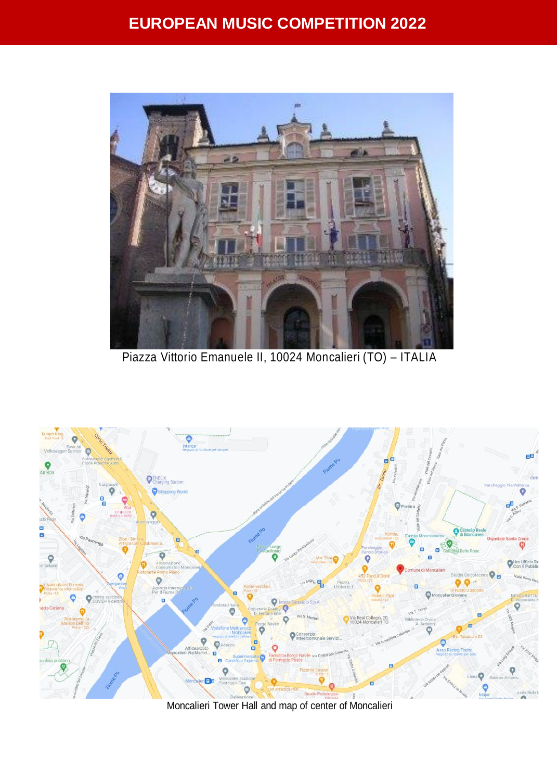# **EUROPEAN MUSIC COMPETITION 2022**



Piazza Vittorio Emanuele II, 10024 Moncalieri (TO) – ITALIA



Moncalieri Tower Hall and map of center of Moncalieri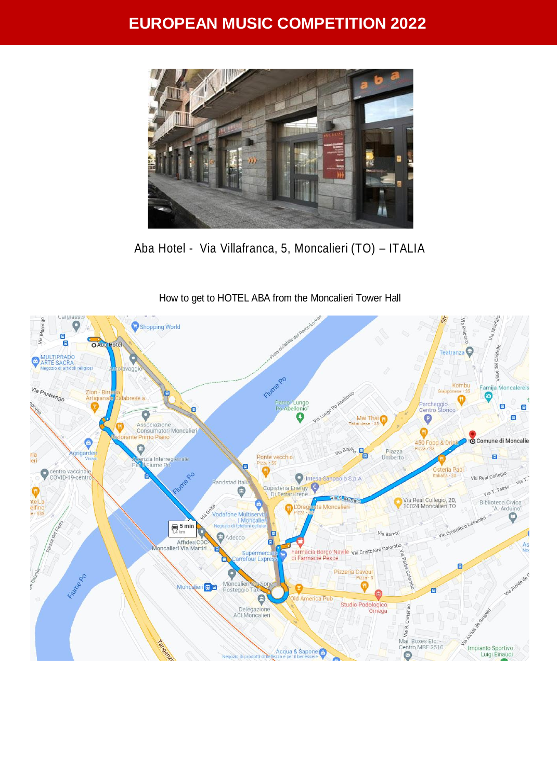## **EUROPEAN MUSIC COMPETITION 2022**



Aba Hotel - Via Villafranca, 5, Moncalieri (TO) – ITALIA

How to get to HOTEL ABA from the Moncalieri Tower Hall